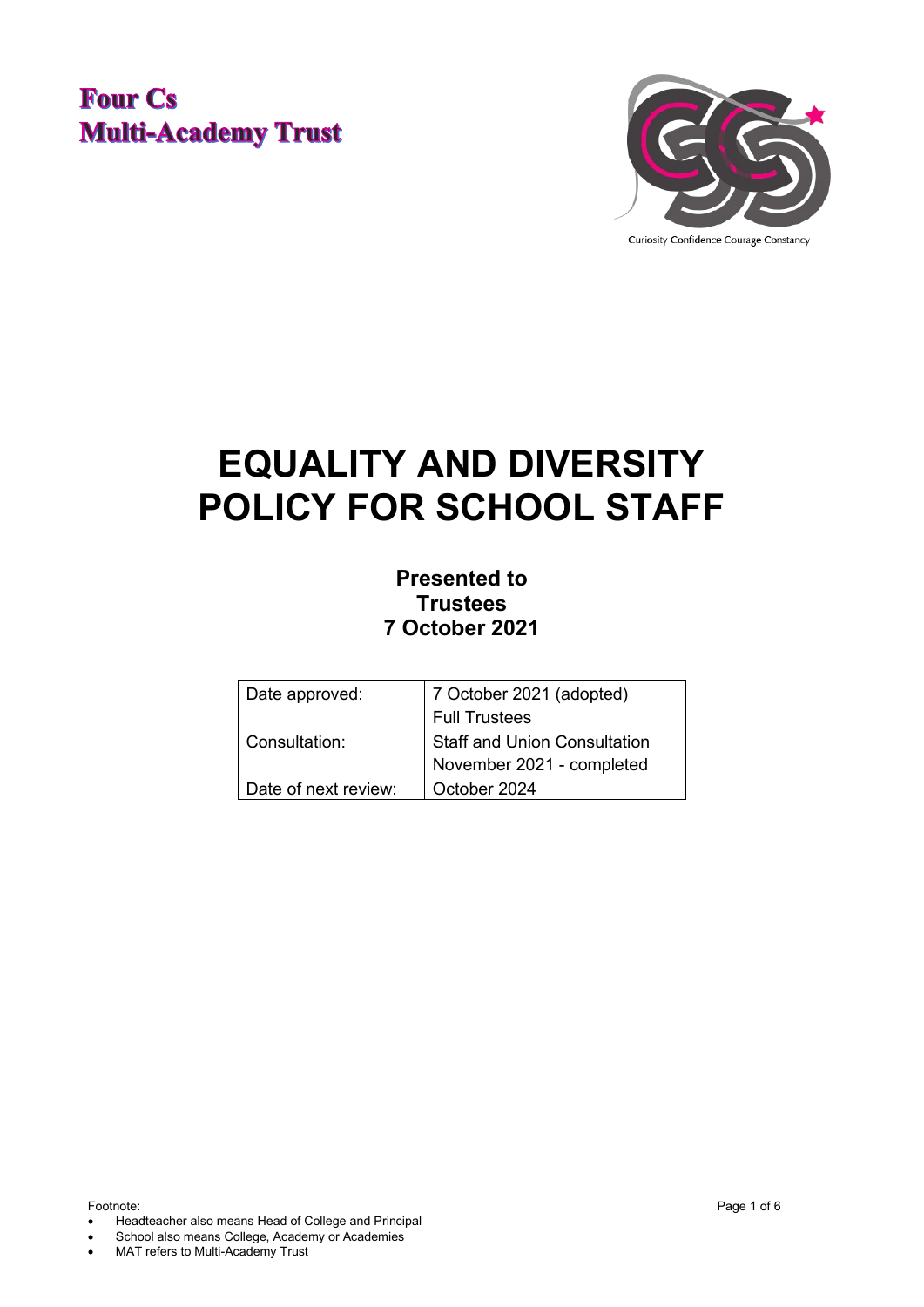## **Four Cs Multi-Academy Trust**



Curiosity Confidence Courage Constancy

# **EQUALITY AND DIVERSITY POLICY FOR SCHOOL STAFF**

### **Presented to Trustees 7 October 2021**

| Date approved:       | 7 October 2021 (adopted)            |
|----------------------|-------------------------------------|
|                      | <b>Full Trustees</b>                |
| l Consultation:      | <b>Staff and Union Consultation</b> |
|                      | November 2021 - completed           |
| Date of next review: | October 2024                        |

Footnote: Page 1 of 6

- Headteacher also means Head of College and Principal
- School also means College, Academy or Academies
- MAT refers to Multi-Academy Trust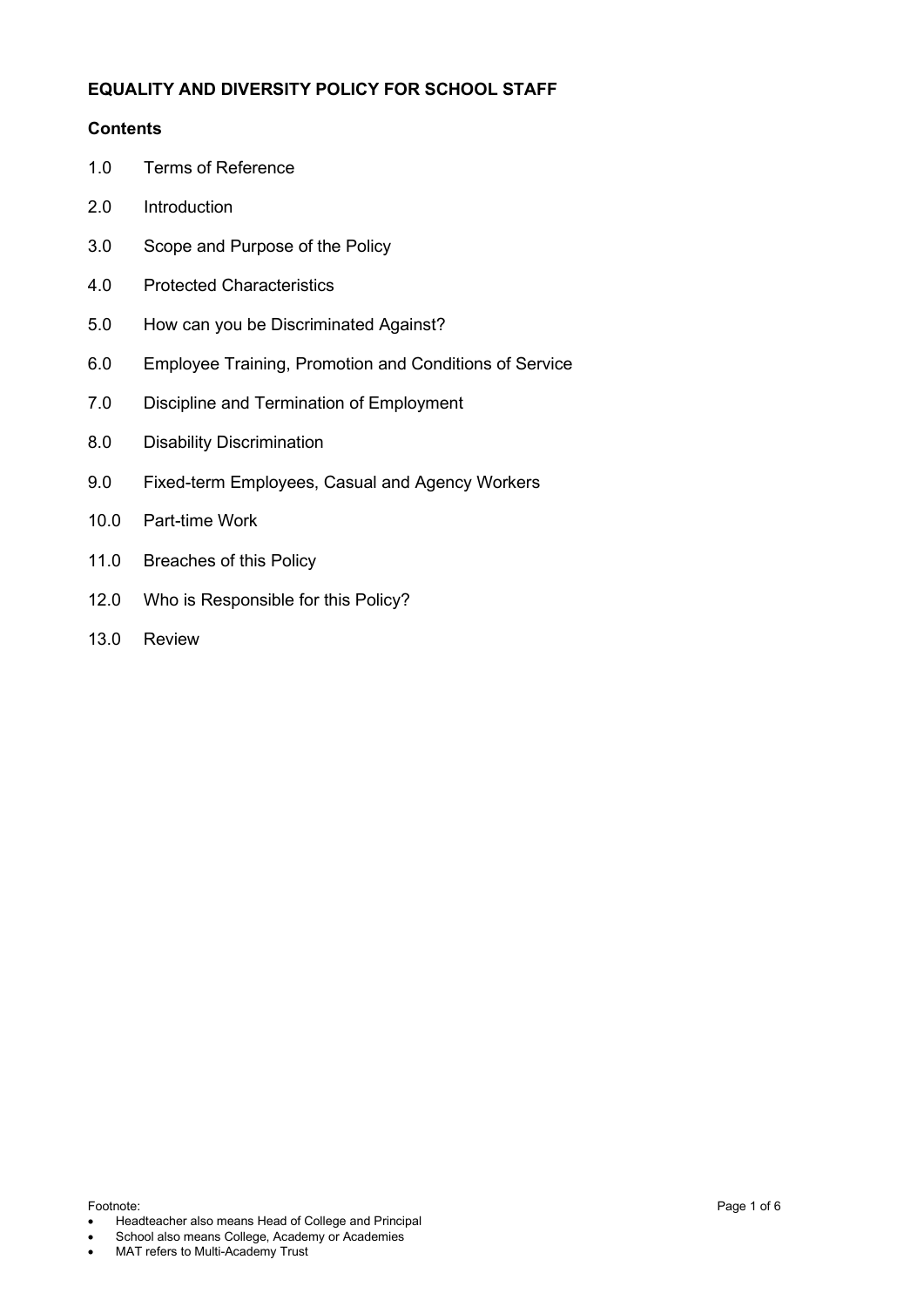#### **EQUALITY AND DIVERSITY POLICY FOR SCHOOL STAFF**

#### **Contents**

- 1.0 Terms of Reference
- 2.0 Introduction
- 3.0 Scope and Purpose of the Policy
- 4.0 Protected Characteristics
- 5.0 How can you be Discriminated Against?
- 6.0 Employee Training, Promotion and Conditions of Service
- 7.0 Discipline and Termination of Employment
- 8.0 Disability Discrimination
- 9.0 Fixed-term Employees, Casual and Agency Workers
- 10.0 Part-time Work
- 11.0 Breaches of this Policy
- 12.0 Who is Responsible for this Policy?
- 13.0 Review

Footnote: Page 1 of 6

- Headteacher also means Head of College and Principal
- School also means College, Academy or Academies
- MAT refers to Multi-Academy Trust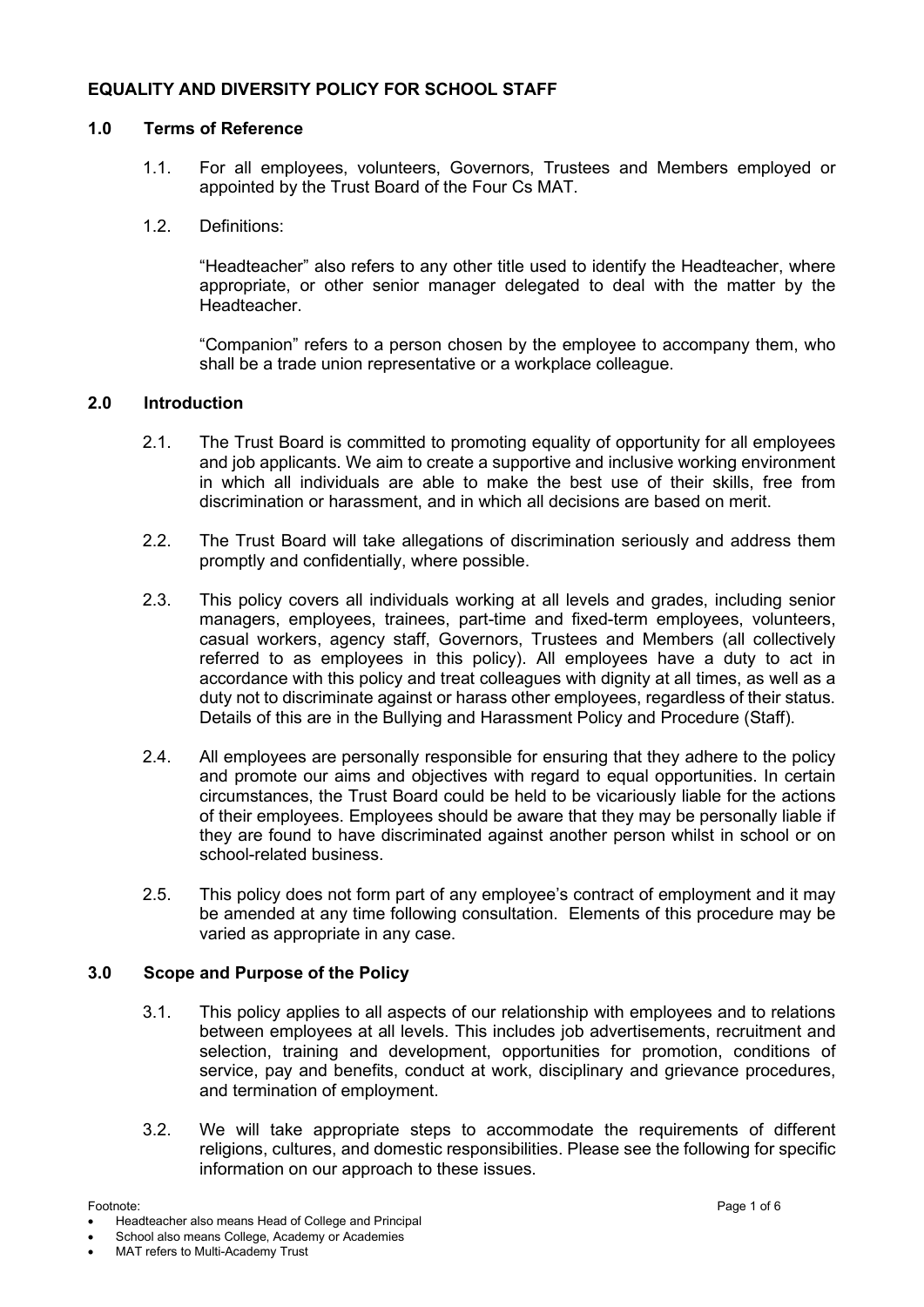#### **EQUALITY AND DIVERSITY POLICY FOR SCHOOL STAFF**

#### **1.0 Terms of Reference**

- 1.1. For all employees, volunteers, Governors, Trustees and Members employed or appointed by the Trust Board of the Four Cs MAT.
- 1.2. Definitions:

"Headteacher" also refers to any other title used to identify the Headteacher, where appropriate, or other senior manager delegated to deal with the matter by the **Headteacher** 

"Companion" refers to a person chosen by the employee to accompany them, who shall be a trade union representative or a workplace colleague.

#### **2.0 Introduction**

- 2.1. The Trust Board is committed to promoting equality of opportunity for all employees and job applicants. We aim to create a supportive and inclusive working environment in which all individuals are able to make the best use of their skills, free from discrimination or harassment, and in which all decisions are based on merit.
- 2.2. The Trust Board will take allegations of discrimination seriously and address them promptly and confidentially, where possible.
- 2.3. This policy covers all individuals working at all levels and grades, including senior managers, employees, trainees, part-time and fixed-term employees, volunteers, casual workers, agency staff, Governors, Trustees and Members (all collectively referred to as employees in this policy). All employees have a duty to act in accordance with this policy and treat colleagues with dignity at all times, as well as a duty not to discriminate against or harass other employees, regardless of their status. Details of this are in the Bullying and Harassment Policy and Procedure (Staff).
- 2.4. All employees are personally responsible for ensuring that they adhere to the policy and promote our aims and objectives with regard to equal opportunities. In certain circumstances, the Trust Board could be held to be vicariously liable for the actions of their employees. Employees should be aware that they may be personally liable if they are found to have discriminated against another person whilst in school or on school-related business.
- 2.5. This policy does not form part of any employee's contract of employment and it may be amended at any time following consultation. Elements of this procedure may be varied as appropriate in any case.

#### **3.0 Scope and Purpose of the Policy**

- 3.1. This policy applies to all aspects of our relationship with employees and to relations between employees at all levels. This includes job advertisements, recruitment and selection, training and development, opportunities for promotion, conditions of service, pay and benefits, conduct at work, disciplinary and grievance procedures, and termination of employment.
- 3.2. We will take appropriate steps to accommodate the requirements of different religions, cultures, and domestic responsibilities. Please see the following for specific information on our approach to these issues.

Footnote: Page 1 of 6 • Headteacher also means Head of College and Principal

School also means College, Academy or Academies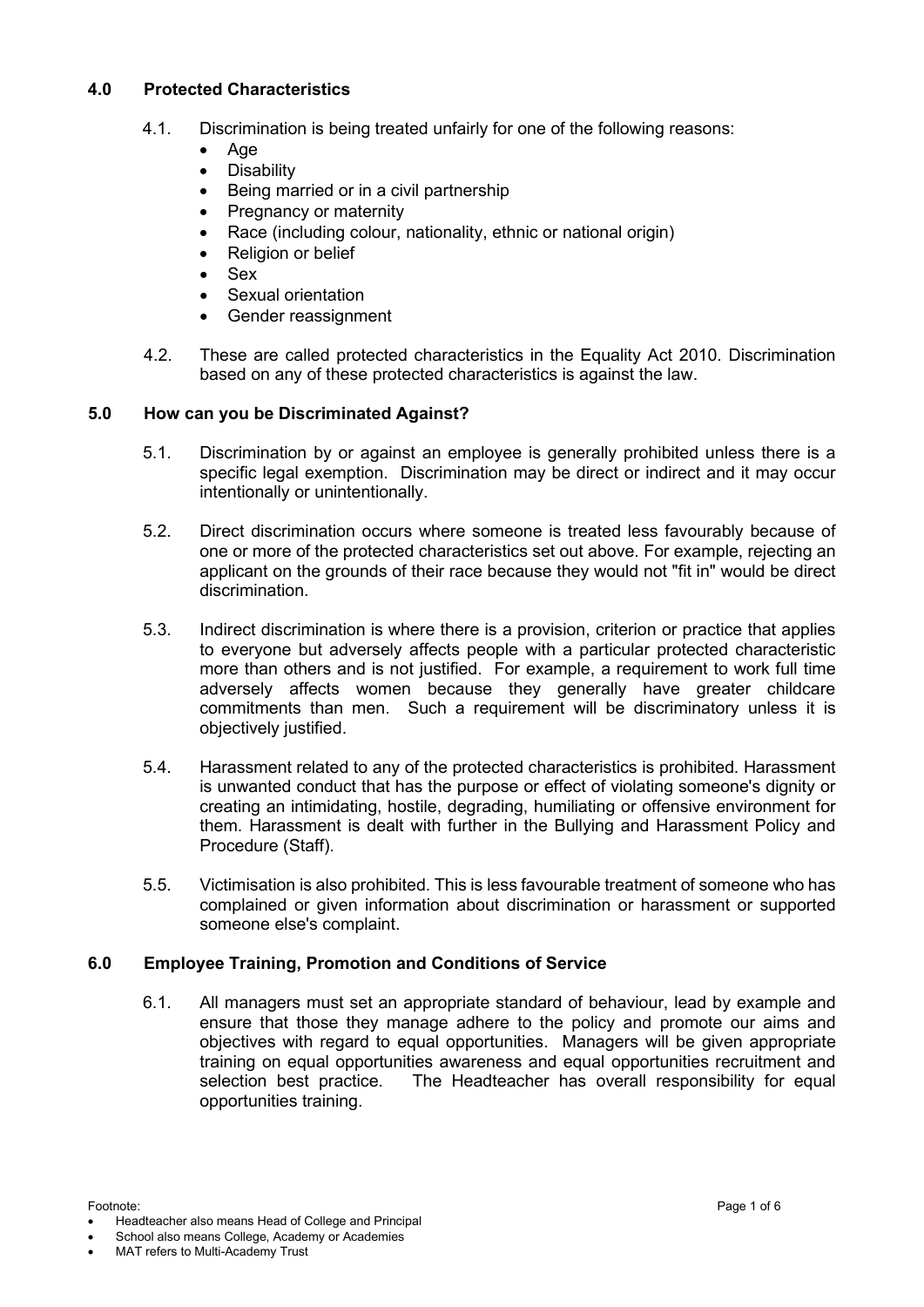#### **4.0 Protected Characteristics**

- 4.1. Discrimination is being treated unfairly for one of the following reasons:
	- Age
	- **Disability**
	- Being married or in a civil partnership
	- Pregnancy or maternity
	- Race (including colour, nationality, ethnic or national origin)
	- Religion or belief
	- Sex
	- Sexual orientation
	- Gender reassignment
- 4.2. These are called protected characteristics in the Equality Act 2010. Discrimination based on any of these protected characteristics is against the law.

#### **5.0 How can you be Discriminated Against?**

- 5.1. Discrimination by or against an employee is generally prohibited unless there is a specific legal exemption. Discrimination may be direct or indirect and it may occur intentionally or unintentionally.
- 5.2. Direct discrimination occurs where someone is treated less favourably because of one or more of the protected characteristics set out above. For example, rejecting an applicant on the grounds of their race because they would not "fit in" would be direct discrimination.
- 5.3. Indirect discrimination is where there is a provision, criterion or practice that applies to everyone but adversely affects people with a particular protected characteristic more than others and is not justified. For example, a requirement to work full time adversely affects women because they generally have greater childcare commitments than men. Such a requirement will be discriminatory unless it is objectively justified.
- 5.4. Harassment related to any of the protected characteristics is prohibited. Harassment is unwanted conduct that has the purpose or effect of violating someone's dignity or creating an intimidating, hostile, degrading, humiliating or offensive environment for them. Harassment is dealt with further in the Bullying and Harassment Policy and Procedure (Staff).
- 5.5. Victimisation is also prohibited. This is less favourable treatment of someone who has complained or given information about discrimination or harassment or supported someone else's complaint.

#### **6.0 Employee Training, Promotion and Conditions of Service**

6.1. All managers must set an appropriate standard of behaviour, lead by example and ensure that those they manage adhere to the policy and promote our aims and objectives with regard to equal opportunities. Managers will be given appropriate training on equal opportunities awareness and equal opportunities recruitment and selection best practice. The Headteacher has overall responsibility for equal opportunities training.

- School also means College, Academy or Academies
- MAT refers to Multi-Academy Trust

Footnote: Page 1 of 6 • Headteacher also means Head of College and Principal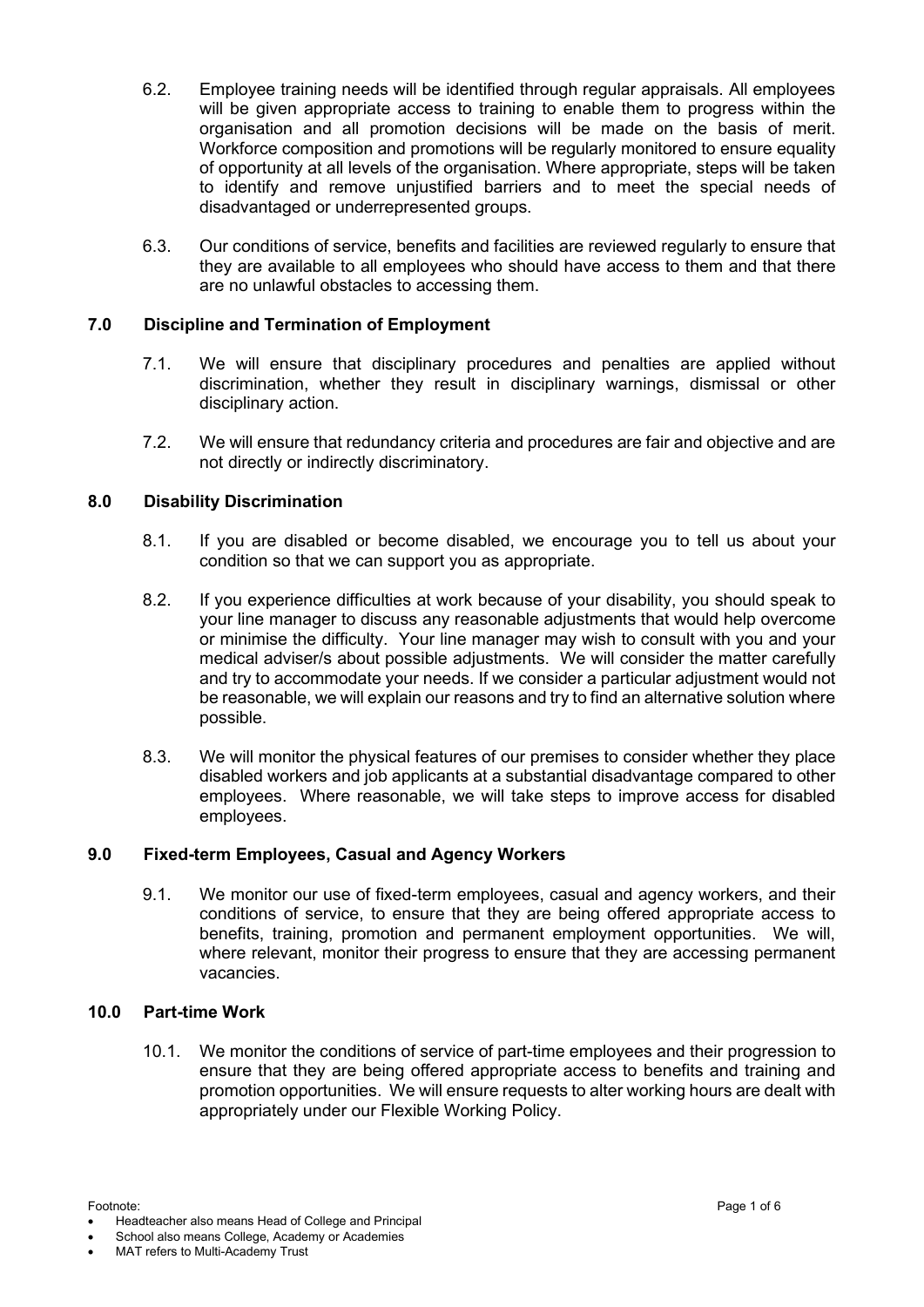- 6.2. Employee training needs will be identified through regular appraisals. All employees will be given appropriate access to training to enable them to progress within the organisation and all promotion decisions will be made on the basis of merit. Workforce composition and promotions will be regularly monitored to ensure equality of opportunity at all levels of the organisation. Where appropriate, steps will be taken to identify and remove unjustified barriers and to meet the special needs of disadvantaged or underrepresented groups.
- 6.3. Our conditions of service, benefits and facilities are reviewed regularly to ensure that they are available to all employees who should have access to them and that there are no unlawful obstacles to accessing them.

#### **7.0 Discipline and Termination of Employment**

- 7.1. We will ensure that disciplinary procedures and penalties are applied without discrimination, whether they result in disciplinary warnings, dismissal or other disciplinary action.
- 7.2. We will ensure that redundancy criteria and procedures are fair and objective and are not directly or indirectly discriminatory.

#### **8.0 Disability Discrimination**

- 8.1. If you are disabled or become disabled, we encourage you to tell us about your condition so that we can support you as appropriate.
- 8.2. If you experience difficulties at work because of your disability, you should speak to your line manager to discuss any reasonable adjustments that would help overcome or minimise the difficulty. Your line manager may wish to consult with you and your medical adviser/s about possible adjustments. We will consider the matter carefully and try to accommodate your needs. If we consider a particular adjustment would not be reasonable, we will explain our reasons and try to find an alternative solution where possible.
- 8.3. We will monitor the physical features of our premises to consider whether they place disabled workers and job applicants at a substantial disadvantage compared to other employees. Where reasonable, we will take steps to improve access for disabled employees.

#### **9.0 Fixed-term Employees, Casual and Agency Workers**

9.1. We monitor our use of fixed-term employees, casual and agency workers, and their conditions of service, to ensure that they are being offered appropriate access to benefits, training, promotion and permanent employment opportunities. We will, where relevant, monitor their progress to ensure that they are accessing permanent vacancies.

#### **10.0 Part-time Work**

10.1. We monitor the conditions of service of part-time employees and their progression to ensure that they are being offered appropriate access to benefits and training and promotion opportunities. We will ensure requests to alter working hours are dealt with appropriately under our Flexible Working Policy.

Footnote: Page 1 of 6 • Headteacher also means Head of College and Principal